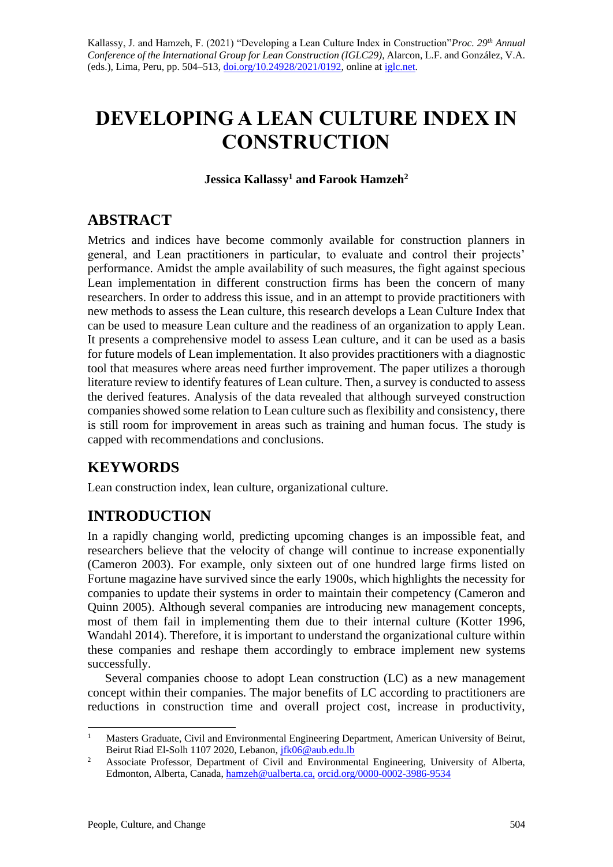# **DEVELOPING A LEAN CULTURE INDEX IN CONSTRUCTION**

**Jessica Kallassy <sup>1</sup> and Farook Hamzeh<sup>2</sup>**

### **ABSTRACT**

Metrics and indices have become commonly available for construction planners in general, and Lean practitioners in particular, to evaluate and control their projects' performance. Amidst the ample availability of such measures, the fight against specious Lean implementation in different construction firms has been the concern of many researchers. In order to address this issue, and in an attempt to provide practitioners with new methods to assess the Lean culture, this research develops a Lean Culture Index that can be used to measure Lean culture and the readiness of an organization to apply Lean. It presents a comprehensive model to assess Lean culture, and it can be used as a basis for future models of Lean implementation. It also provides practitioners with a diagnostic tool that measures where areas need further improvement. The paper utilizes a thorough literature review to identify features of Lean culture. Then, a survey is conducted to assess the derived features. Analysis of the data revealed that although surveyed construction companies showed some relation to Lean culture such as flexibility and consistency, there is still room for improvement in areas such as training and human focus. The study is capped with recommendations and conclusions.

# **KEYWORDS**

Lean construction index, lean culture, organizational culture.

# **INTRODUCTION**

In a rapidly changing world, predicting upcoming changes is an impossible feat, and researchers believe that the velocity of change will continue to increase exponentially (Cameron 2003). For example, only sixteen out of one hundred large firms listed on Fortune magazine have survived since the early 1900s, which highlights the necessity for companies to update their systems in order to maintain their competency (Cameron and Quinn 2005). Although several companies are introducing new management concepts, most of them fail in implementing them due to their internal culture (Kotter 1996, Wandahl 2014). Therefore, it is important to understand the organizational culture within these companies and reshape them accordingly to embrace implement new systems successfully.

Several companies choose to adopt Lean construction (LC) as a new management concept within their companies. The major benefits of LC according to practitioners are reductions in construction time and overall project cost, increase in productivity,

<sup>1</sup> Masters Graduate, Civil and Environmental Engineering Department, American University of Beirut, Beirut Riad El-Solh 1107 2020, Lebanon[, jfk06@aub.edu.lb](mailto:jfk06@aub.edu.lb)

<sup>&</sup>lt;sup>2</sup> Associate Professor, Department of Civil and Environmental Engineering, University of Alberta, Edmonton, Alberta, Canada[, hamzeh@ualberta.ca,](mailto:hamzeh@ualberta.ca) [orcid.org/0000-0002-3986-9534](https://orcid.org/0000-0002-3986-9534)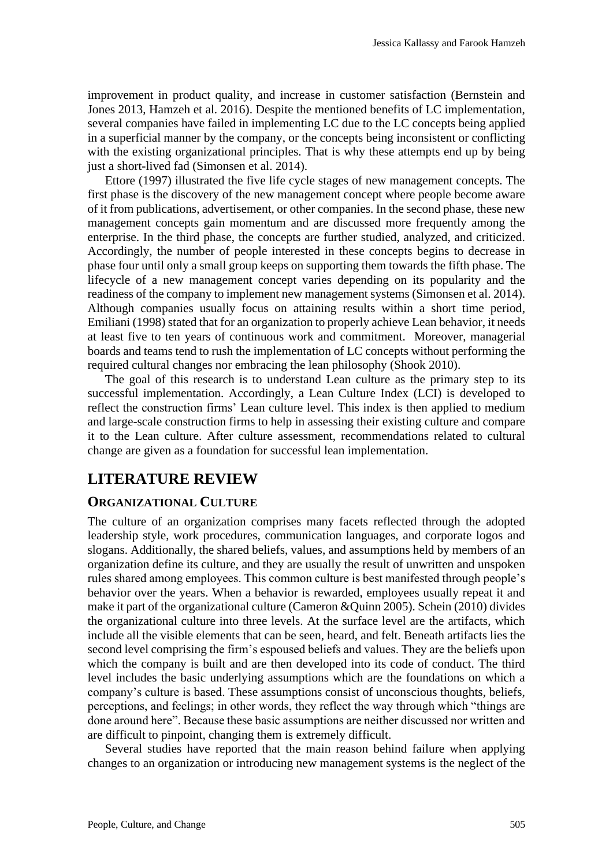improvement in product quality, and increase in customer satisfaction (Bernstein and Jones 2013, Hamzeh et al. 2016). Despite the mentioned benefits of LC implementation, several companies have failed in implementing LC due to the LC concepts being applied in a superficial manner by the company, or the concepts being inconsistent or conflicting with the existing organizational principles. That is why these attempts end up by being just a short-lived fad (Simonsen et al. 2014).

Ettore (1997) illustrated the five life cycle stages of new management concepts. The first phase is the discovery of the new management concept where people become aware of it from publications, advertisement, or other companies. In the second phase, these new management concepts gain momentum and are discussed more frequently among the enterprise. In the third phase, the concepts are further studied, analyzed, and criticized. Accordingly, the number of people interested in these concepts begins to decrease in phase four until only a small group keeps on supporting them towards the fifth phase. The lifecycle of a new management concept varies depending on its popularity and the readiness of the company to implement new management systems (Simonsen et al. 2014). Although companies usually focus on attaining results within a short time period, Emiliani (1998) stated that for an organization to properly achieve Lean behavior, it needs at least five to ten years of continuous work and commitment. Moreover, managerial boards and teams tend to rush the implementation of LC concepts without performing the required cultural changes nor embracing the lean philosophy (Shook 2010).

The goal of this research is to understand Lean culture as the primary step to its successful implementation. Accordingly, a Lean Culture Index (LCI) is developed to reflect the construction firms' Lean culture level. This index is then applied to medium and large-scale construction firms to help in assessing their existing culture and compare it to the Lean culture. After culture assessment, recommendations related to cultural change are given as a foundation for successful lean implementation.

### **LITERATURE REVIEW**

#### **ORGANIZATIONAL CULTURE**

The culture of an organization comprises many facets reflected through the adopted leadership style, work procedures, communication languages, and corporate logos and slogans. Additionally, the shared beliefs, values, and assumptions held by members of an organization define its culture, and they are usually the result of unwritten and unspoken rules shared among employees. This common culture is best manifested through people's behavior over the years. When a behavior is rewarded, employees usually repeat it and make it part of the organizational culture (Cameron &Quinn 2005). Schein (2010) divides the organizational culture into three levels. At the surface level are the artifacts, which include all the visible elements that can be seen, heard, and felt. Beneath artifacts lies the second level comprising the firm's espoused beliefs and values. They are the beliefs upon which the company is built and are then developed into its code of conduct. The third level includes the basic underlying assumptions which are the foundations on which a company's culture is based. These assumptions consist of unconscious thoughts, beliefs, perceptions, and feelings; in other words, they reflect the way through which "things are done around here". Because these basic assumptions are neither discussed nor written and are difficult to pinpoint, changing them is extremely difficult.

Several studies have reported that the main reason behind failure when applying changes to an organization or introducing new management systems is the neglect of the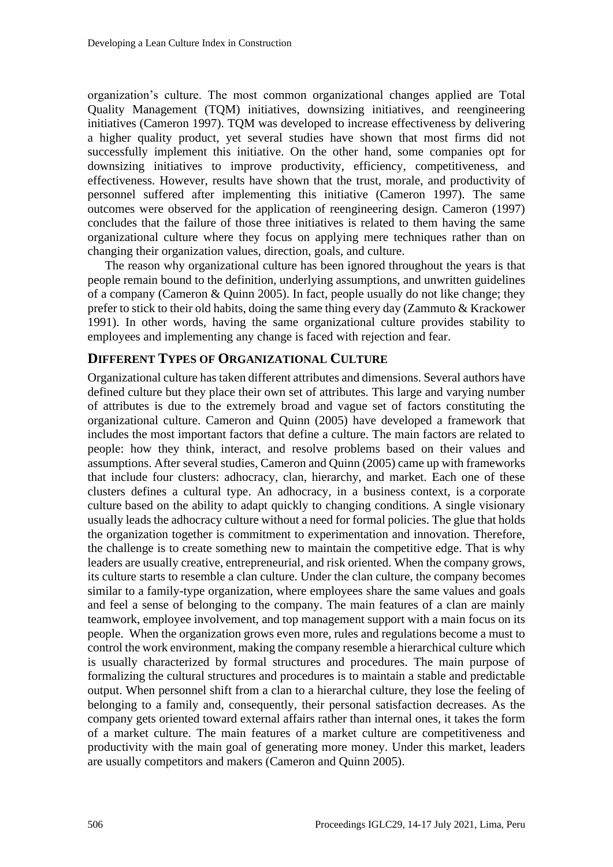organization's culture. The most common organizational changes applied are Total Quality Management (TQM) initiatives, downsizing initiatives, and reengineering initiatives (Cameron 1997). TQM was developed to increase effectiveness by delivering a higher quality product, yet several studies have shown that most firms did not successfully implement this initiative. On the other hand, some companies opt for downsizing initiatives to improve productivity, efficiency, competitiveness, and effectiveness. However, results have shown that the trust, morale, and productivity of personnel suffered after implementing this initiative (Cameron 1997). The same outcomes were observed for the application of reengineering design. Cameron (1997) concludes that the failure of those three initiatives is related to them having the same organizational culture where they focus on applying mere techniques rather than on changing their organization values, direction, goals, and culture.

The reason why organizational culture has been ignored throughout the years is that people remain bound to the definition, underlying assumptions, and unwritten guidelines of a company (Cameron & Quinn 2005). In fact, people usually do not like change; they prefer to stick to their old habits, doing the same thing every day (Zammuto & Krackower 1991). In other words, having the same organizational culture provides stability to employees and implementing any change is faced with rejection and fear.

#### **DIFFERENT TYPES OF ORGANIZATIONAL CULTURE**

Organizational culture has taken different attributes and dimensions. Several authors have defined culture but they place their own set of attributes. This large and varying number of attributes is due to the extremely broad and vague set of factors constituting the organizational culture. Cameron and Quinn (2005) have developed a framework that includes the most important factors that define a culture. The main factors are related to people: how they think, interact, and resolve problems based on their values and assumptions. After several studies, Cameron and Quinn (2005) came up with frameworks that include four clusters: adhocracy, clan, hierarchy, and market. Each one of these clusters defines a cultural type. An adhocracy, in a business context, is a [corporate](https://whatis.techtarget.com/definition/corporate-culture)  [culture](https://whatis.techtarget.com/definition/corporate-culture) based on the ability to adapt quickly to changing conditions. A single visionary usually leads the adhocracy culture without a need for formal policies. The glue that holds the organization together is commitment to experimentation and innovation. Therefore, the challenge is to create something new to maintain the competitive edge. That is why leaders are usually creative, entrepreneurial, and risk oriented. When the company grows, its culture starts to resemble a clan culture. Under the clan culture, the company becomes similar to a family-type organization, where employees share the same values and goals and feel a sense of belonging to the company. The main features of a clan are mainly teamwork, employee involvement, and top management support with a main focus on its people. When the organization grows even more, rules and regulations become a must to control the work environment, making the company resemble a hierarchical culture which is usually characterized by formal structures and procedures. The main purpose of formalizing the cultural structures and procedures is to maintain a stable and predictable output. When personnel shift from a clan to a hierarchal culture, they lose the feeling of belonging to a family and, consequently, their personal satisfaction decreases. As the company gets oriented toward external affairs rather than internal ones, it takes the form of a market culture. The main features of a market culture are competitiveness and productivity with the main goal of generating more money. Under this market, leaders are usually competitors and makers (Cameron and Quinn 2005).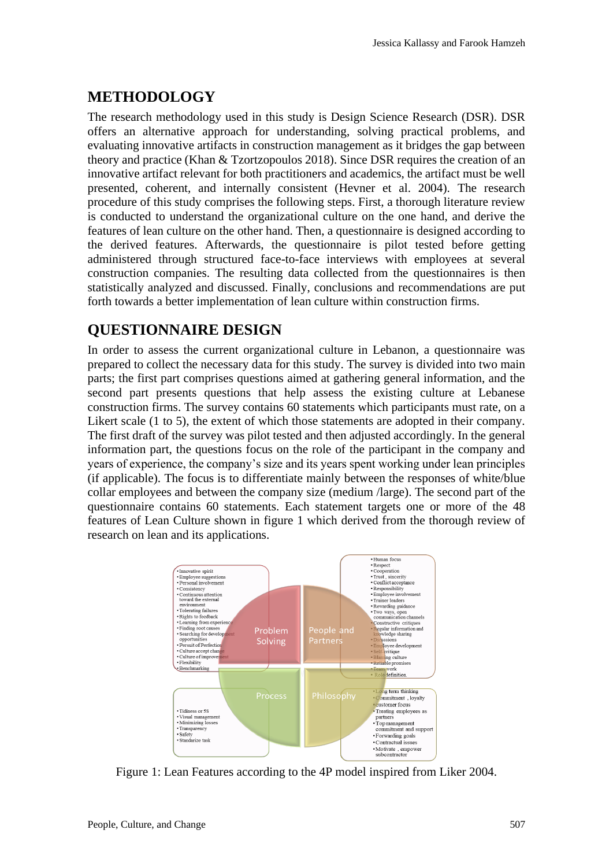### **METHODOLOGY**

The research methodology used in this study is Design Science Research (DSR). DSR offers an alternative approach for understanding, solving practical problems, and evaluating innovative artifacts in construction management as it bridges the gap between theory and practice (Khan & Tzortzopoulos 2018). Since DSR requires the creation of an innovative artifact relevant for both practitioners and academics, the artifact must be well presented, coherent, and internally consistent (Hevner et al. 2004). The research procedure of this study comprises the following steps. First, a thorough literature review is conducted to understand the organizational culture on the one hand, and derive the features of lean culture on the other hand. Then, a questionnaire is designed according to the derived features. Afterwards, the questionnaire is pilot tested before getting administered through structured face-to-face interviews with employees at several construction companies. The resulting data collected from the questionnaires is then statistically analyzed and discussed. Finally, conclusions and recommendations are put forth towards a better implementation of lean culture within construction firms.

### **QUESTIONNAIRE DESIGN**

In order to assess the current organizational culture in Lebanon, a questionnaire was prepared to collect the necessary data for this study. The survey is divided into two main parts; the first part comprises questions aimed at gathering general information, and the second part presents questions that help assess the existing culture at Lebanese construction firms. The survey contains 60 statements which participants must rate, on a Likert scale (1 to 5), the extent of which those statements are adopted in their company. The first draft of the survey was pilot tested and then adjusted accordingly. In the general information part, the questions focus on the role of the participant in the company and years of experience, the company's size and its years spent working under lean principles (if applicable). The focus is to differentiate mainly between the responses of white/blue collar employees and between the company size (medium /large). The second part of the questionnaire contains 60 statements. Each statement targets one or more of the 48 features of Lean Culture shown in figure 1 which derived from the thorough review of research on lean and its applications.



Figure 1: Lean Features according to the 4P model inspired from Liker 2004.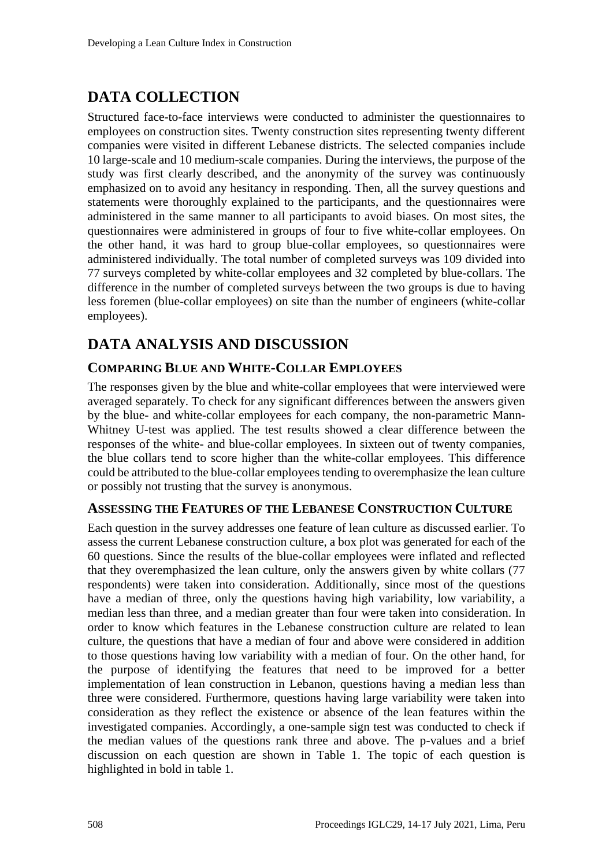### **DATA COLLECTION**

Structured face-to-face interviews were conducted to administer the questionnaires to employees on construction sites. Twenty construction sites representing twenty different companies were visited in different Lebanese districts. The selected companies include 10 large-scale and 10 medium-scale companies. During the interviews, the purpose of the study was first clearly described, and the anonymity of the survey was continuously emphasized on to avoid any hesitancy in responding. Then, all the survey questions and statements were thoroughly explained to the participants, and the questionnaires were administered in the same manner to all participants to avoid biases. On most sites, the questionnaires were administered in groups of four to five white-collar employees. On the other hand, it was hard to group blue-collar employees, so questionnaires were administered individually. The total number of completed surveys was 109 divided into 77 surveys completed by white-collar employees and 32 completed by blue-collars. The difference in the number of completed surveys between the two groups is due to having less foremen (blue-collar employees) on site than the number of engineers (white-collar employees).

### **DATA ANALYSIS AND DISCUSSION**

#### **COMPARING BLUE AND WHITE-COLLAR EMPLOYEES**

The responses given by the blue and white-collar employees that were interviewed were averaged separately. To check for any significant differences between the answers given by the blue- and white-collar employees for each company, the non-parametric Mann-Whitney U-test was applied. The test results showed a clear difference between the responses of the white- and blue-collar employees. In sixteen out of twenty companies, the blue collars tend to score higher than the white-collar employees. This difference could be attributed to the blue-collar employees tending to overemphasize the lean culture or possibly not trusting that the survey is anonymous.

#### **ASSESSING THE FEATURES OF THE LEBANESE CONSTRUCTION CULTURE**

Each question in the survey addresses one feature of lean culture as discussed earlier. To assess the current Lebanese construction culture, a box plot was generated for each of the 60 questions. Since the results of the blue-collar employees were inflated and reflected that they overemphasized the lean culture, only the answers given by white collars (77 respondents) were taken into consideration. Additionally, since most of the questions have a median of three, only the questions having high variability, low variability, a median less than three, and a median greater than four were taken into consideration. In order to know which features in the Lebanese construction culture are related to lean culture, the questions that have a median of four and above were considered in addition to those questions having low variability with a median of four. On the other hand, for the purpose of identifying the features that need to be improved for a better implementation of lean construction in Lebanon, questions having a median less than three were considered. Furthermore, questions having large variability were taken into consideration as they reflect the existence or absence of the lean features within the investigated companies. Accordingly, a one-sample sign test was conducted to check if the median values of the questions rank three and above. The p-values and a brief discussion on each question are shown in Table 1. The topic of each question is highlighted in bold in table 1.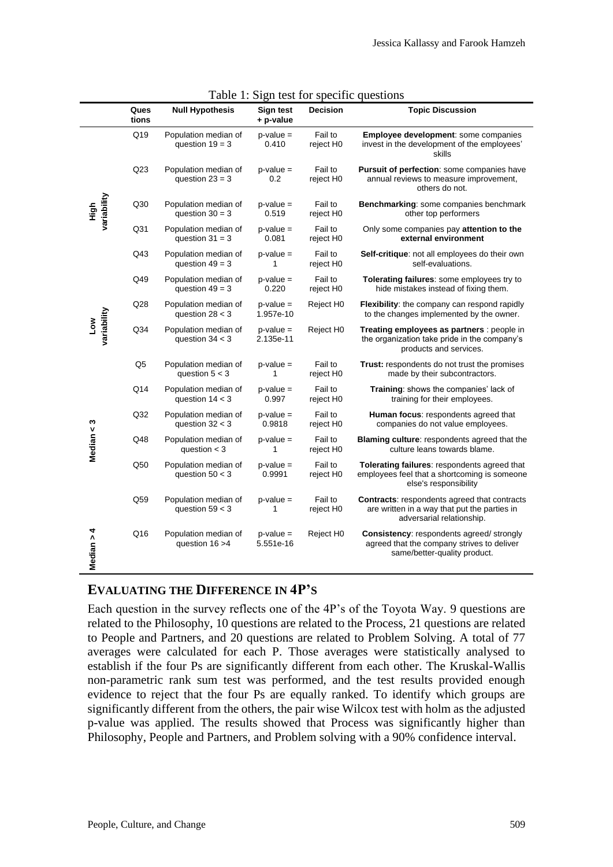|                     | Ques<br>tions | <b>Null Hypothesis</b>                    | Sign test<br>+ p-value    | <b>Decision</b>      | <b>Topic Discussion</b>                                                                                                          |
|---------------------|---------------|-------------------------------------------|---------------------------|----------------------|----------------------------------------------------------------------------------------------------------------------------------|
|                     | Q19           | Population median of<br>question $19 = 3$ | $p$ -value =<br>0.410     | Fail to<br>reject H0 | Employee development: some companies<br>invest in the development of the employees'<br>skills                                    |
| variability<br>High | Q23           | Population median of<br>question $23 = 3$ | $p$ -value =<br>0.2       | Fail to<br>reject H0 | Pursuit of perfection: some companies have<br>annual reviews to measure improvement,<br>others do not.                           |
|                     | Q30           | Population median of<br>question $30 = 3$ | $p$ -value =<br>0.519     | Fail to<br>reject H0 | Benchmarking: some companies benchmark<br>other top performers                                                                   |
|                     | Q31           | Population median of<br>question $31 = 3$ | $p$ -value =<br>0.081     | Fail to<br>reject H0 | Only some companies pay attention to the<br>external environment                                                                 |
|                     | Q43           | Population median of<br>question $49 = 3$ | $p$ -value =<br>1         | Fail to<br>reject H0 | Self-critique: not all employees do their own<br>self-evaluations.                                                               |
| variability<br>Low  | Q49           | Population median of<br>question $49 = 3$ | $p$ -value =<br>0.220     | Fail to<br>reject H0 | Tolerating failures: some employees try to<br>hide mistakes instead of fixing them.                                              |
|                     | Q28           | Population median of<br>question $28 < 3$ | $p$ -value =<br>1.957e-10 | Reject H0            | Flexibility: the company can respond rapidly<br>to the changes implemented by the owner.                                         |
|                     | Q34           | Population median of<br>question $34 < 3$ | $p$ -value =<br>2.135e-11 | Reject H0            | Treating employees as partners : people in<br>the organization take pride in the company's<br>products and services.             |
| Median < 3          | Q5            | Population median of<br>question $5 < 3$  | $p$ -value =              | Fail to<br>reject H0 | <b>Trust:</b> respondents do not trust the promises<br>made by their subcontractors.                                             |
|                     | Q14           | Population median of<br>question $14 < 3$ | $p$ -value =<br>0.997     | Fail to<br>reject H0 | Training: shows the companies' lack of<br>training for their employees.                                                          |
|                     | Q32           | Population median of<br>question $32 < 3$ | $p$ -value =<br>0.9818    | Fail to<br>reject H0 | Human focus: respondents agreed that<br>companies do not value employees.                                                        |
|                     | Q48           | Population median of<br>question $<$ 3    | $p$ -value =<br>1         | Fail to<br>reject H0 | Blaming culture: respondents agreed that the<br>culture leans towards blame.                                                     |
|                     | Q50           | Population median of<br>question $50 < 3$ | $p$ -value =<br>0.9991    | Fail to<br>reject H0 | Tolerating failures: respondents agreed that<br>employees feel that a shortcoming is someone<br>else's responsibility            |
|                     | Q59           | Population median of<br>question $59 < 3$ | $p$ -value =<br>1         | Fail to<br>reject H0 | <b>Contracts: respondents agreed that contracts</b><br>are written in a way that put the parties in<br>adversarial relationship. |
| Median > 4          | Q16           | Population median of<br>question 16 > 4   | $p$ -value =<br>5.551e-16 | Reject H0            | <b>Consistency:</b> respondents agreed/strongly<br>agreed that the company strives to deliver<br>same/better-quality product.    |

| Table 1: Sign test for specific questions |
|-------------------------------------------|
|-------------------------------------------|

#### **EVALUATING THE DIFFERENCE IN 4P'S**

Each question in the survey reflects one of the 4P's of the Toyota Way. 9 questions are related to the Philosophy, 10 questions are related to the Process, 21 questions are related to People and Partners, and 20 questions are related to Problem Solving. A total of 77 averages were calculated for each P. Those averages were statistically analysed to establish if the four Ps are significantly different from each other. The Kruskal-Wallis non-parametric rank sum test was performed, and the test results provided enough evidence to reject that the four Ps are equally ranked. To identify which groups are significantly different from the others, the pair wise Wilcox test with holm as the adjusted p-value was applied. The results showed that Process was significantly higher than Philosophy, People and Partners, and Problem solving with a 90% confidence interval.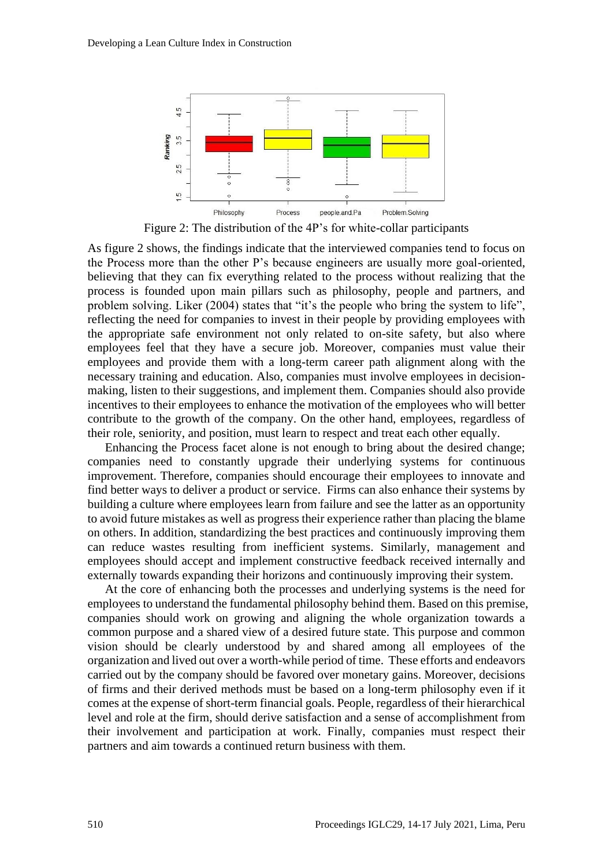

Figure 2: The distribution of the 4P's for white-collar participants

As figure 2 shows, the findings indicate that the interviewed companies tend to focus on the Process more than the other P's because engineers are usually more goal-oriented, believing that they can fix everything related to the process without realizing that the process is founded upon main pillars such as philosophy, people and partners, and problem solving. Liker (2004) states that "it's the people who bring the system to life", reflecting the need for companies to invest in their people by providing employees with the appropriate safe environment not only related to on-site safety, but also where employees feel that they have a secure job. Moreover, companies must value their employees and provide them with a long-term career path alignment along with the necessary training and education. Also, companies must involve employees in decisionmaking, listen to their suggestions, and implement them. Companies should also provide incentives to their employees to enhance the motivation of the employees who will better contribute to the growth of the company. On the other hand, employees, regardless of their role, seniority, and position, must learn to respect and treat each other equally.

Enhancing the Process facet alone is not enough to bring about the desired change; companies need to constantly upgrade their underlying systems for continuous improvement. Therefore, companies should encourage their employees to innovate and find better ways to deliver a product or service. Firms can also enhance their systems by building a culture where employees learn from failure and see the latter as an opportunity to avoid future mistakes as well as progress their experience rather than placing the blame on others. In addition, standardizing the best practices and continuously improving them can reduce wastes resulting from inefficient systems. Similarly, management and employees should accept and implement constructive feedback received internally and externally towards expanding their horizons and continuously improving their system.

At the core of enhancing both the processes and underlying systems is the need for employees to understand the fundamental philosophy behind them. Based on this premise, companies should work on growing and aligning the whole organization towards a common purpose and a shared view of a desired future state. This purpose and common vision should be clearly understood by and shared among all employees of the organization and lived out over a worth-while period of time. These efforts and endeavors carried out by the company should be favored over monetary gains. Moreover, decisions of firms and their derived methods must be based on a long-term philosophy even if it comes at the expense of short-term financial goals. People, regardless of their hierarchical level and role at the firm, should derive satisfaction and a sense of accomplishment from their involvement and participation at work. Finally, companies must respect their partners and aim towards a continued return business with them.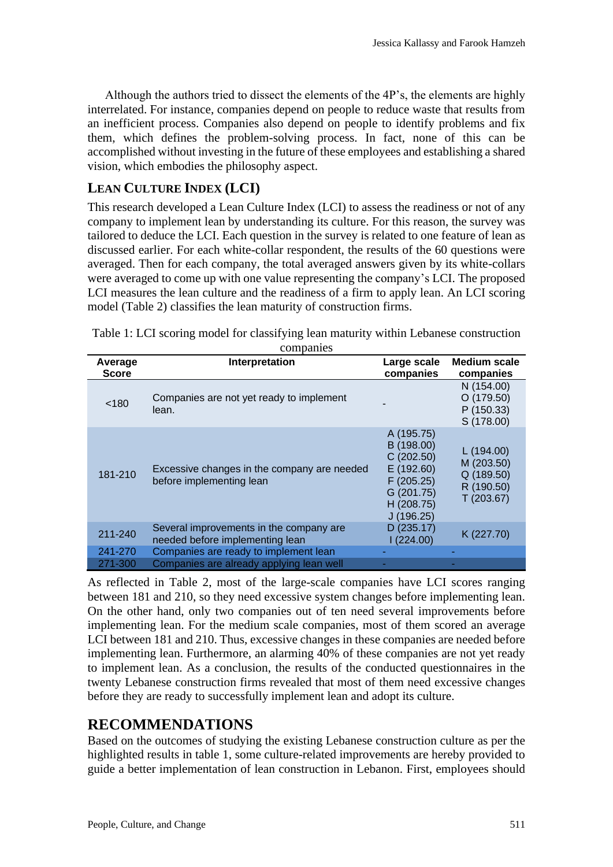Although the authors tried to dissect the elements of the 4P's, the elements are highly interrelated. For instance, companies depend on people to reduce waste that results from an inefficient process. Companies also depend on people to identify problems and fix them, which defines the problem-solving process. In fact, none of this can be accomplished without investing in the future of these employees and establishing a shared vision, which embodies the philosophy aspect.

#### **LEAN CULTURE INDEX (LCI)**

This research developed a Lean Culture Index (LCI) to assess the readiness or not of any company to implement lean by understanding its culture. For this reason, the survey was tailored to deduce the LCI. Each question in the survey is related to one feature of lean as discussed earlier. For each white-collar respondent, the results of the 60 questions were averaged. Then for each company, the total averaged answers given by its white-collars were averaged to come up with one value representing the company's LCI. The proposed LCI measures the lean culture and the readiness of a firm to apply lean. An LCI scoring model (Table 2) classifies the lean maturity of construction firms.

| Average<br><b>Score</b> | Interpretation                                                             | Large scale<br>companies                                                                                  | <b>Medium scale</b><br>companies                                 |
|-------------------------|----------------------------------------------------------------------------|-----------------------------------------------------------------------------------------------------------|------------------------------------------------------------------|
| < 180                   | Companies are not yet ready to implement<br>lean.                          |                                                                                                           | N (154.00)<br>O(179.50)<br>P(150.33)<br>S (178.00)               |
| 181-210                 | Excessive changes in the company are needed<br>before implementing lean    | A (195.75)<br>B (198.00)<br>C(202.50)<br>E (192.60)<br>F(205.25)<br>G (201.75)<br>H (208.75)<br>J(196.25) | L(194.00)<br>M (203.50)<br>Q (189.50)<br>R (190.50)<br>T(203.67) |
| 211-240                 | Several improvements in the company are<br>needed before implementing lean | D(235.17)<br>(224.00)                                                                                     | K (227.70)                                                       |
| 241-270                 | Companies are ready to implement lean                                      |                                                                                                           |                                                                  |
| 271-300                 | Companies are already applying lean well                                   |                                                                                                           |                                                                  |

Table 1: LCI scoring model for classifying lean maturity within Lebanese construction companies

As reflected in Table 2, most of the large-scale companies have LCI scores ranging between 181 and 210, so they need excessive system changes before implementing lean. On the other hand, only two companies out of ten need several improvements before implementing lean. For the medium scale companies, most of them scored an average LCI between 181 and 210. Thus, excessive changes in these companies are needed before implementing lean. Furthermore, an alarming 40% of these companies are not yet ready to implement lean. As a conclusion, the results of the conducted questionnaires in the twenty Lebanese construction firms revealed that most of them need excessive changes before they are ready to successfully implement lean and adopt its culture.

### **RECOMMENDATIONS**

Based on the outcomes of studying the existing Lebanese construction culture as per the highlighted results in table 1, some culture-related improvements are hereby provided to guide a better implementation of lean construction in Lebanon. First, employees should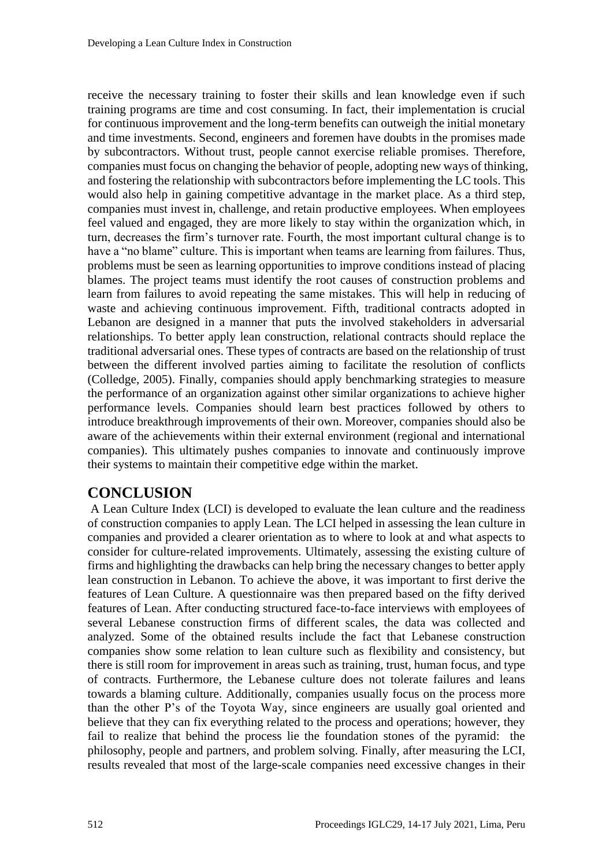receive the necessary training to foster their skills and lean knowledge even if such training programs are time and cost consuming. In fact, their implementation is crucial for continuous improvement and the long-term benefits can outweigh the initial monetary and time investments. Second, engineers and foremen have doubts in the promises made by subcontractors. Without trust, people cannot exercise reliable promises. Therefore, companies must focus on changing the behavior of people, adopting new ways of thinking, and fostering the relationship with subcontractors before implementing the LC tools. This would also help in gaining competitive advantage in the market place. As a third step, companies must invest in, challenge, and retain productive employees. When employees feel valued and engaged, they are more likely to stay within the organization which, in turn, decreases the firm's turnover rate. Fourth, the most important cultural change is to have a "no blame" culture. This is important when teams are learning from failures. Thus, problems must be seen as learning opportunities to improve conditions instead of placing blames. The project teams must identify the root causes of construction problems and learn from failures to avoid repeating the same mistakes. This will help in reducing of waste and achieving continuous improvement. Fifth, traditional contracts adopted in Lebanon are designed in a manner that puts the involved stakeholders in adversarial relationships. To better apply lean construction, relational contracts should replace the traditional adversarial ones. These types of contracts are based on the relationship of trust between the different involved parties aiming to facilitate the resolution of conflicts (Colledge, 2005). Finally, companies should apply benchmarking strategies to measure the performance of an organization against other similar organizations to achieve higher performance levels. Companies should learn best practices followed by others to introduce breakthrough improvements of their own. Moreover, companies should also be aware of the achievements within their external environment (regional and international companies). This ultimately pushes companies to innovate and continuously improve their systems to maintain their competitive edge within the market.

#### **CONCLUSION**

A Lean Culture Index (LCI) is developed to evaluate the lean culture and the readiness of construction companies to apply Lean. The LCI helped in assessing the lean culture in companies and provided a clearer orientation as to where to look at and what aspects to consider for culture-related improvements. Ultimately, assessing the existing culture of firms and highlighting the drawbacks can help bring the necessary changes to better apply lean construction in Lebanon. To achieve the above, it was important to first derive the features of Lean Culture. A questionnaire was then prepared based on the fifty derived features of Lean. After conducting structured face-to-face interviews with employees of several Lebanese construction firms of different scales, the data was collected and analyzed. Some of the obtained results include the fact that Lebanese construction companies show some relation to lean culture such as flexibility and consistency, but there is still room for improvement in areas such as training, trust, human focus, and type of contracts. Furthermore, the Lebanese culture does not tolerate failures and leans towards a blaming culture. Additionally, companies usually focus on the process more than the other P's of the Toyota Way, since engineers are usually goal oriented and believe that they can fix everything related to the process and operations; however, they fail to realize that behind the process lie the foundation stones of the pyramid: the philosophy, people and partners, and problem solving. Finally, after measuring the LCI, results revealed that most of the large-scale companies need excessive changes in their